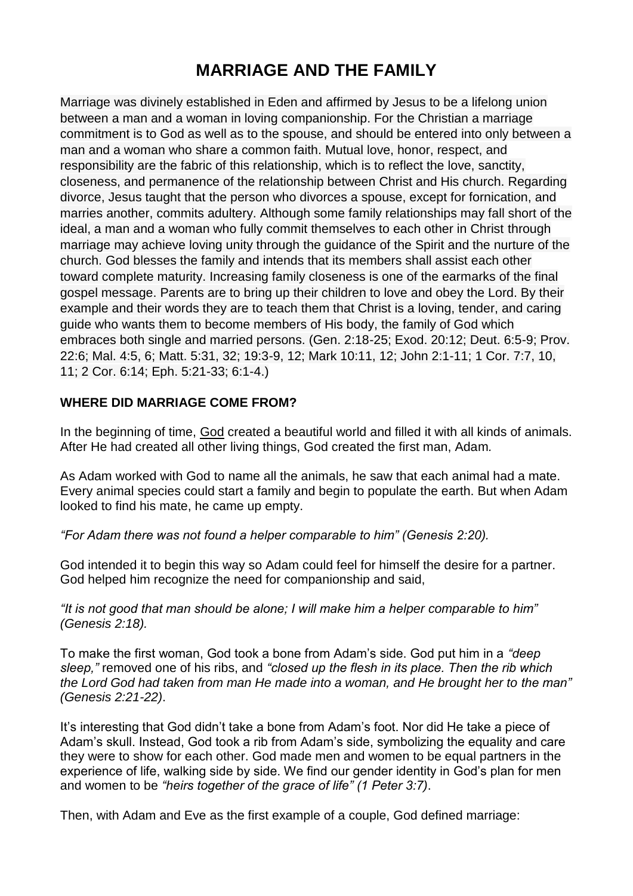# **MARRIAGE AND THE FAMILY**

Marriage was divinely established in Eden and affirmed by Jesus to be a lifelong union between a man and a woman in loving companionship. For the Christian a marriage commitment is to God as well as to the spouse, and should be entered into only between a man and a woman who share a common faith. Mutual love, honor, respect, and responsibility are the fabric of this relationship, which is to reflect the love, sanctity, closeness, and permanence of the relationship between Christ and His church. Regarding divorce, Jesus taught that the person who divorces a spouse, except for fornication, and marries another, commits adultery. Although some family relationships may fall short of the ideal, a man and a woman who fully commit themselves to each other in Christ through marriage may achieve loving unity through the guidance of the Spirit and the nurture of the church. God blesses the family and intends that its members shall assist each other toward complete maturity. Increasing family closeness is one of the earmarks of the final gospel message. Parents are to bring up their children to love and obey the Lord. By their example and their words they are to teach them that Christ is a loving, tender, and caring guide who wants them to become members of His body, the family of God which embraces both single and married persons. (Gen. 2:18-25; Exod. 20:12; Deut. 6:5-9; Prov. 22:6; Mal. 4:5, 6; Matt. 5:31, 32; 19:3-9, 12; Mark 10:11, 12; John 2:1-11; 1 Cor. 7:7, 10, 11; 2 Cor. 6:14; Eph. 5:21-33; 6:1-4.)

# **WHERE DID MARRIAGE COME FROM?**

In the beginning of time, [God](https://www.adventist.org/father/) created a beautiful world and filled it with all kinds of animals. After He had created all other living things, God created the first man, Adam*.*

As Adam worked with God to name all the animals, he saw that each animal had a mate. Every animal species could start a family and begin to populate the earth. But when Adam looked to find his mate, he came up empty.

*"For Adam there was not found a helper comparable to him" (Genesis 2:20).*

God intended it to begin this way so Adam could feel for himself the desire for a partner. God helped him recognize the need for companionship and said,

*"It is not good that man should be alone; I will make him a helper comparable to him" (Genesis 2:18).*

To make the first woman, God took a bone from Adam's side. God put him in a *"deep sleep,"* removed one of his ribs, and *"closed up the flesh in its place. Then the rib which the Lord God had taken from man He made into a woman, and He brought her to the man" (Genesis 2:21-22)*.

It's interesting that God didn't take a bone from Adam's foot. Nor did He take a piece of Adam's skull. Instead, God took a rib from Adam's side, symbolizing the equality and care they were to show for each other. God made men and women to be equal partners in the experience of life, walking side by side. We find our gender identity in God's plan for men and women to be *"heirs together of the grace of life" (1 Peter 3:7)*.

Then, with Adam and Eve as the first example of a couple, God defined marriage: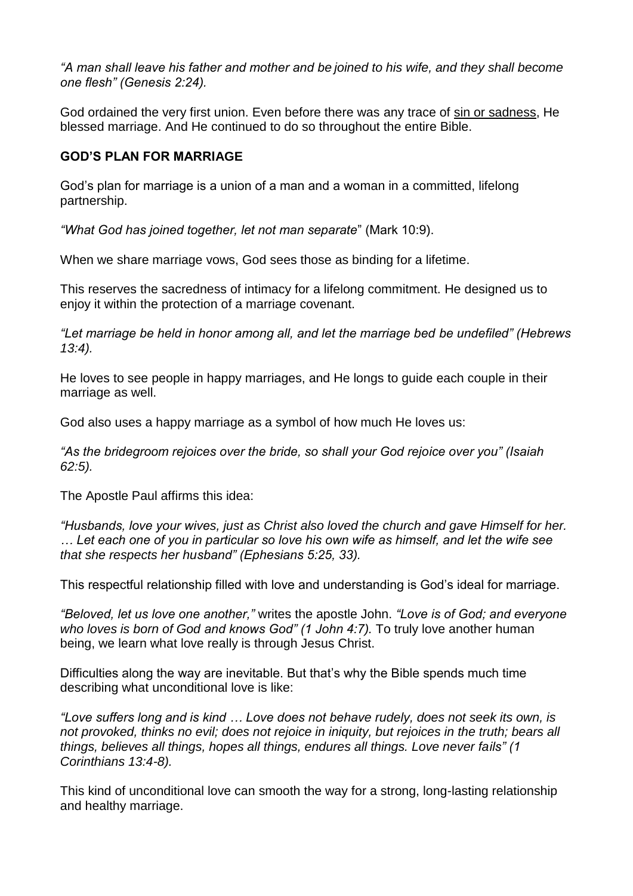*"A man shall leave his father and mother and be joined to his wife, and they shall become one flesh" (Genesis 2:24).*

God ordained the very first union. Even before there was any trace of sin or [sadness,](https://www.adventist.org/nature-of-humanity/) He blessed marriage. And He continued to do so throughout the entire Bible.

## **GOD'S PLAN FOR MARRIAGE**

God's plan for marriage is a union of a man and a woman in a committed, lifelong partnership.

*"What God has joined together, let not man separate*" (Mark 10:9).

When we share marriage vows, God sees those as binding for a lifetime.

This reserves the sacredness of intimacy for a lifelong commitment. He designed us to enjoy it within the protection of a marriage covenant.

*"Let marriage be held in honor among all, and let the marriage bed be undefiled" (Hebrews 13:4).*

He loves to see people in happy marriages, and He longs to guide each couple in their marriage as well.

God also uses a happy marriage as a symbol of how much He loves us:

*"As the bridegroom rejoices over the bride, so shall your God rejoice over you" (Isaiah 62:5).*

The Apostle Paul affirms this idea:

*"Husbands, love your wives, just as Christ also loved the church and gave Himself for her. … Let each one of you in particular so love his own wife as himself, and let the wife see that she respects her husband" (Ephesians 5:25, 33).*

This respectful relationship filled with love and understanding is God's ideal for marriage.

*"Beloved, let us love one another,"* writes the apostle John. *"Love is of God; and everyone who loves is born of God and knows God" (1 John 4:7).* To truly love another human being, we learn what love really is through Jesus Christ.

Difficulties along the way are inevitable. But that's why the Bible spends much time describing what unconditional love is like:

*"Love suffers long and is kind … Love does not behave rudely, does not seek its own, is not provoked, thinks no evil; does not rejoice in iniquity, but rejoices in the truth; bears all things, believes all things, hopes all things, endures all things. Love never fails" (1 Corinthians 13:4-8).*

This kind of unconditional love can smooth the way for a strong, long-lasting relationship and healthy marriage.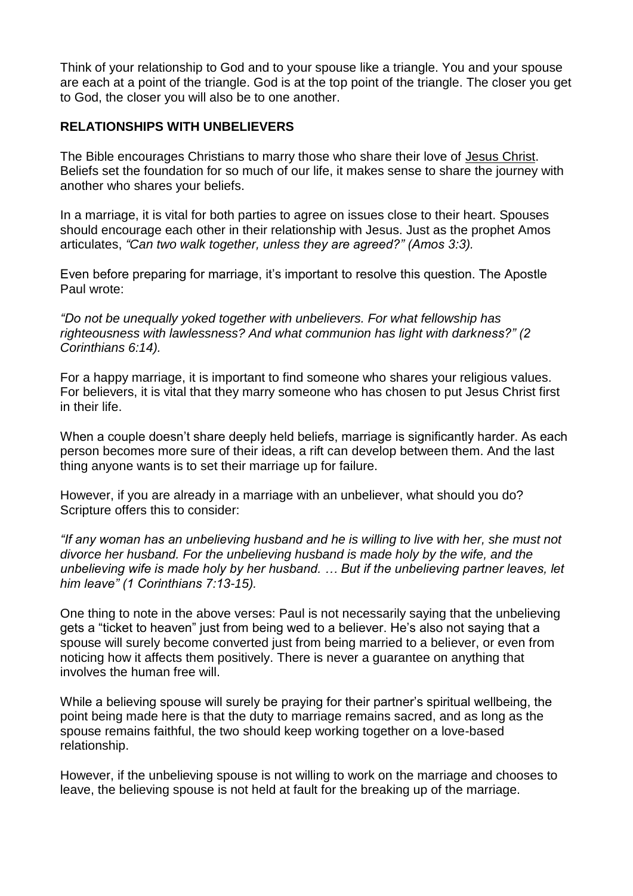Think of your relationship to God and to your spouse like a triangle. You and your spouse are each at a point of the triangle. God is at the top point of the triangle. The closer you get to God, the closer you will also be to one another.

#### **RELATIONSHIPS WITH UNBELIEVERS**

The Bible encourages Christians to marry those who share their love of Jesus [Christ.](https://www.adventist.org/son/) Beliefs set the foundation for so much of our life, it makes sense to share the journey with another who shares your beliefs.

In a marriage, it is vital for both parties to agree on issues close to their heart. Spouses should encourage each other in their relationship with Jesus. Just as the prophet Amos articulates, *"Can two walk together, unless they are agreed?" (Amos 3:3).*

Even before preparing for marriage, it's important to resolve this question. The Apostle Paul wrote:

*"Do not be unequally yoked together with unbelievers. For what fellowship has righteousness with lawlessness? And what communion has light with darkness?" (2 Corinthians 6:14).*

For a happy marriage, it is important to find someone who shares your religious values. For believers, it is vital that they marry someone who has chosen to put Jesus Christ first in their life.

When a couple doesn't share deeply held beliefs, marriage is significantly harder. As each person becomes more sure of their ideas, a rift can develop between them. And the last thing anyone wants is to set their marriage up for failure.

However, if you are already in a marriage with an unbeliever, what should you do? Scripture offers this to consider:

*"If any woman has an unbelieving husband and he is willing to live with her, she must not divorce her husband. For the unbelieving husband is made holy by the wife, and the unbelieving wife is made holy by her husband. … But if the unbelieving partner leaves, let him leave" (1 Corinthians 7:13-15).*

One thing to note in the above verses: Paul is not necessarily saying that the unbelieving gets a "ticket to heaven" just from being wed to a believer. He's also not saying that a spouse will surely become converted just from being married to a believer, or even from noticing how it affects them positively. There is never a guarantee on anything that involves the human free will.

While a believing spouse will surely be praying for their partner's spiritual wellbeing, the point being made here is that the duty to marriage remains sacred, and as long as the spouse remains faithful, the two should keep working together on a love-based relationship.

However, if the unbelieving spouse is not willing to work on the marriage and chooses to leave, the believing spouse is not held at fault for the breaking up of the marriage.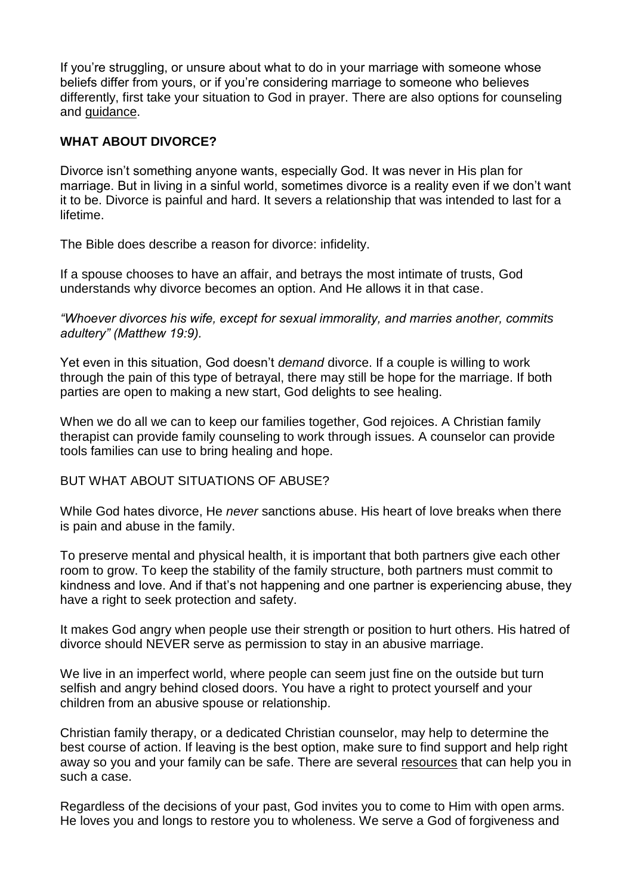If you're struggling, or unsure about what to do in your marriage with someone whose beliefs differ from yours, or if you're considering marriage to someone who believes differently, first take your situation to God in prayer. There are also options for counseling and [guidance.](https://family.adventist.org/people/couples/)

## **WHAT ABOUT DIVORCE?**

Divorce isn't something anyone wants, especially God. It was never in His plan for marriage. But in living in a sinful world, sometimes divorce is a reality even if we don't want it to be. Divorce is painful and hard. It severs a relationship that was intended to last for a lifetime.

The Bible does describe a reason for divorce: infidelity.

If a spouse chooses to have an affair, and betrays the most intimate of trusts, God understands why divorce becomes an option. And He allows it in that case.

*"Whoever divorces his wife, except for sexual immorality, and marries another, commits adultery" (Matthew 19:9).*

Yet even in this situation, God doesn't *demand* divorce. If a couple is willing to work through the pain of this type of betrayal, there may still be hope for the marriage. If both parties are open to making a new start, God delights to see healing.

When we do all we can to keep our families together, God rejoices. A Christian family therapist can provide family counseling to work through issues. A counselor can provide tools families can use to bring healing and hope.

#### BUT WHAT ABOUT SITUATIONS OF ABUSE?

While God hates divorce, He *never* sanctions abuse. His heart of love breaks when there is pain and abuse in the family.

To preserve mental and physical health, it is important that both partners give each other room to grow. To keep the stability of the family structure, both partners must commit to kindness and love. And if that's not happening and one partner is experiencing abuse, they have a right to seek protection and safety.

It makes God angry when people use their strength or position to hurt others. His hatred of divorce should NEVER serve as permission to stay in an abusive marriage.

We live in an imperfect world, where people can seem just fine on the outside but turn selfish and angry behind closed doors. You have a right to protect yourself and your children from an abusive spouse or relationship.

Christian family therapy, or a dedicated Christian counselor, may help to determine the best course of action. If leaving is the best option, make sure to find support and help right away so you and your family can be safe. There are several [resources](https://www.nadfamily.org/resources/counselors/) that can help you in such a case.

Regardless of the decisions of your past, God invites you to come to Him with open arms. He loves you and longs to restore you to wholeness. We serve a God of forgiveness and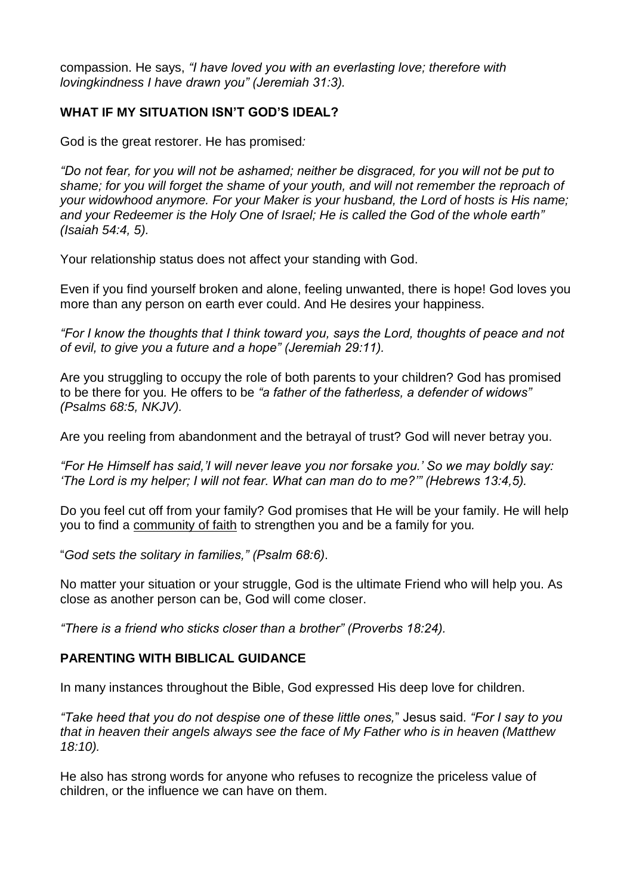compassion. He says, *"I have loved you with an everlasting love; therefore with lovingkindness I have drawn you" (Jeremiah 31:3).*

## **WHAT IF MY SITUATION ISN'T GOD'S IDEAL?**

God is the great restorer. He has promised*:*

*"Do not fear, for you will not be ashamed; neither be disgraced, for you will not be put to shame; for you will forget the shame of your youth, and will not remember the reproach of your widowhood anymore. For your Maker is your husband, the Lord of hosts is His name; and your Redeemer is the Holy One of Israel; He is called the God of the whole earth" (Isaiah 54:4, 5).*

Your relationship status does not affect your standing with God.

Even if you find yourself broken and alone, feeling unwanted, there is hope! God loves you more than any person on earth ever could. And He desires your happiness.

*"For I know the thoughts that I think toward you, says the Lord, thoughts of peace and not of evil, to give you a future and a hope" (Jeremiah 29:11).*

Are you struggling to occupy the role of both parents to your children? God has promised to be there for you*.* He offers to be *"a father of the fatherless, a defender of widows" (Psalms 68:5, NKJV).*

Are you reeling from abandonment and the betrayal of trust? God will never betray you.

*"For He Himself has said,'I will never leave you nor forsake you.' So we may boldly say: 'The Lord is my helper; I will not fear. What can man do to me?'" (Hebrews 13:4,5).*

Do you feel cut off from your family? God promises that He will be your family. He will help you to find a [community](https://www.adventist.org/the-church/) of faith to strengthen you and be a family for you*.*

"*God sets the solitary in families," (Psalm 68:6)*.

No matter your situation or your struggle, God is the ultimate Friend who will help you. As close as another person can be, God will come closer.

*"There is a friend who sticks closer than a brother" (Proverbs 18:24).*

#### **PARENTING WITH BIBLICAL GUIDANCE**

In many instances throughout the Bible, God expressed His deep love for children.

*"Take heed that you do not despise one of these little ones,*" Jesus said*. "For I say to you that in heaven their angels always see the face of My Father who is in heaven (Matthew 18:10).*

He also has strong words for anyone who refuses to recognize the priceless value of children, or the influence we can have on them.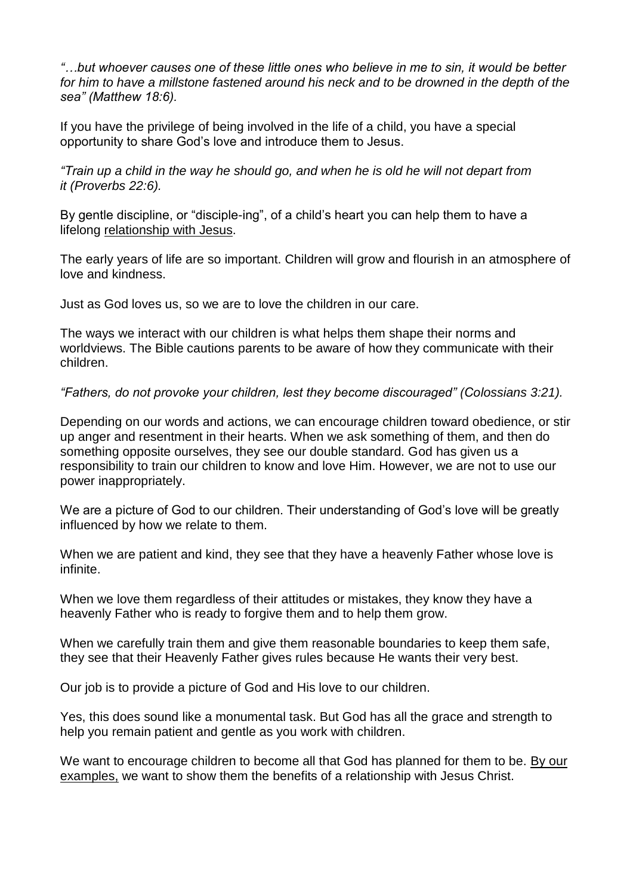*"…but whoever causes one of these little ones who believe in me to sin, it would be better*  for him to have a millstone fastened around his neck and to be drowned in the depth of the *sea" (Matthew 18:6).*

If you have the privilege of being involved in the life of a child, you have a special opportunity to share God's love and introduce them to Jesus.

*"Train up a child in the way he should go, and when he is old he will not depart from it (Proverbs 22:6).*

By gentle discipline, or "disciple-ing", of a child's heart you can help them to have a lifelong [relationship](https://www.adventist.org/who-are-seventh-day-adventists/salvation-in-jesus-alone/) with Jesus.

The early years of life are so important. Children will grow and flourish in an atmosphere of love and kindness.

Just as God loves us, so we are to love the children in our care.

The ways we interact with our children is what helps them shape their norms and worldviews. The Bible cautions parents to be aware of how they communicate with their children.

*"Fathers, do not provoke your children, lest they become discouraged" (Colossians 3:21).*

Depending on our words and actions, we can encourage children toward obedience, or stir up anger and resentment in their hearts. When we ask something of them, and then do something opposite ourselves, they see our double standard. God has given us a responsibility to train our children to know and love Him. However, we are not to use our power inappropriately.

We are a picture of God to our children. Their understanding of God's love will be greatly influenced by how we relate to them.

When we are patient and kind, they see that they have a heavenly Father whose love is infinite.

When we love them regardless of their attitudes or mistakes, they know they have a heavenly Father who is ready to forgive them and to help them grow.

When we carefully train them and give them reasonable boundaries to keep them safe, they see that their Heavenly Father gives rules because He wants their very best.

Our job is to provide a picture of God and His love to our children.

Yes, this does sound like a monumental task. But God has all the grace and strength to help you remain patient and gentle as you work with children.

We want to encourage children to become all that God has planned for them to be. By [our](https://www.adventist.org/christian-behavior/) [examples,](https://www.adventist.org/christian-behavior/) we want to show them the benefits of a relationship with Jesus Christ.